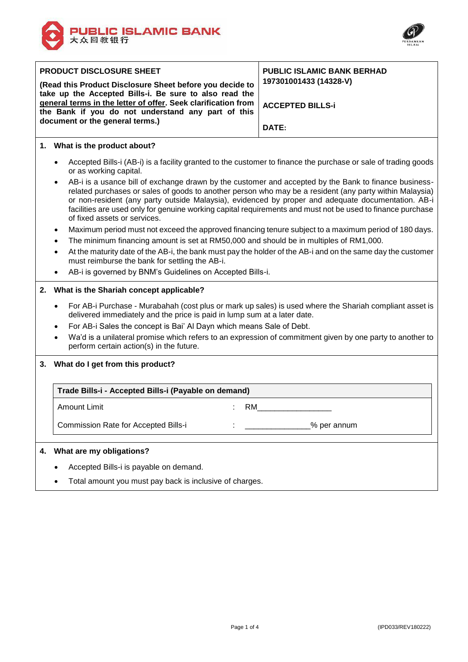



| <b>PRODUCT DISCLOSURE SHEET</b><br>(Read this Product Disclosure Sheet before you decide to<br>take up the Accepted Bills-i. Be sure to also read the<br>general terms in the letter of offer. Seek clarification from<br>the Bank if you do not understand any part of this<br>document or the general terms.) | <b>PUBLIC ISLAMIC BANK BERHAD</b><br>197301001433 (14328-V)<br><b>ACCEPTED BILLS-i</b><br>DATE: |
|-----------------------------------------------------------------------------------------------------------------------------------------------------------------------------------------------------------------------------------------------------------------------------------------------------------------|-------------------------------------------------------------------------------------------------|
| What is the product about?<br>1.                                                                                                                                                                                                                                                                                |                                                                                                 |
| Accepted Bills-i (AB-i) is a facility granted to the customer to finance the purchase or sale of trading goods<br>$\bullet$<br>or as working capital.                                                                                                                                                           |                                                                                                 |
| AB-i is a usance bill of exchange drawn by the customer and accepted by the Bank to finance business-<br>$\bullet$<br>related purchases or sales of goods to another person who may be a resident (any party within Malaysia)                                                                                   |                                                                                                 |

- related purchases or sales of goods to another person who may be a resident (any party within Malaysia) or non-resident (any party outside Malaysia), evidenced by proper and adequate documentation. AB-i facilities are used only for genuine working capital requirements and must not be used to finance purchase of fixed assets or services.
- Maximum period must not exceed the approved financing tenure subject to a maximum period of 180 days.
- The minimum financing amount is set at RM50,000 and should be in multiples of RM1,000.
- At the maturity date of the AB-i, the bank must pay the holder of the AB-i and on the same day the customer must reimburse the bank for settling the AB-i.
- AB-i is governed by BNM's Guidelines on Accepted Bills-i.

## **2. What is the Shariah concept applicable?**

- For AB-i Purchase Murabahah (cost plus or mark up sales) is used where the Shariah compliant asset is delivered immediately and the price is paid in lump sum at a later date.
- For AB-i Sales the concept is Bai' Al Dayn which means Sale of Debt.
- Wa'd is a unilateral promise which refers to an expression of commitment given by one party to another to perform certain action(s) in the future.

#### **3. What do I get from this product?**

# **Trade Bills-i - Accepted Bills-i (Payable on demand)**

Amount Limit

: RM\_\_\_\_\_\_\_\_\_\_\_\_\_\_\_\_\_

\_\_\_\_\_\_\_\_\_\_\_\_\_\_\_% per annum

:

Commission Rate for Accepted Bills-i

# **4. What are my obligations?**

- Accepted Bills-i is payable on demand.
- Total amount you must pay back is inclusive of charges.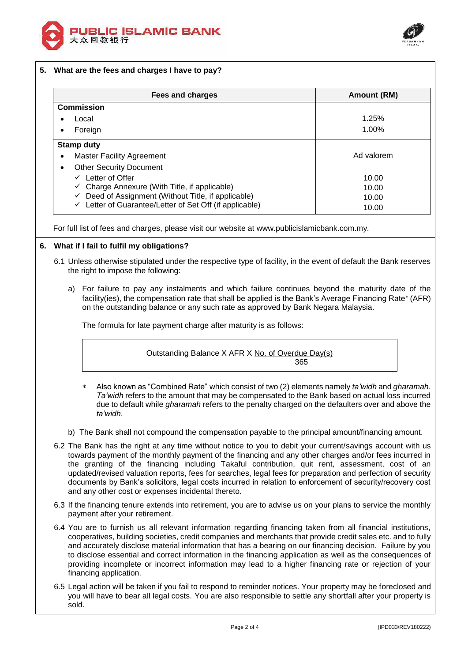



## **5. What are the fees and charges I have to pay?**

| <b>Fees and charges</b>                                            | Amount (RM) |
|--------------------------------------------------------------------|-------------|
| <b>Commission</b>                                                  |             |
| Local                                                              | 1.25%       |
| Foreign                                                            | 1.00%       |
| <b>Stamp duty</b>                                                  |             |
| <b>Master Facility Agreement</b>                                   | Ad valorem  |
| <b>Other Security Document</b>                                     |             |
| Letter of Offer<br>$\checkmark$                                    | 10.00       |
| $\checkmark$ Charge Annexure (With Title, if applicable)           | 10.00       |
| Deed of Assignment (Without Title, if applicable)<br>✓             | 10.00       |
| $\checkmark$ Letter of Guarantee/Letter of Set Off (if applicable) | 10.00       |

For full list of fees and charges, please visit our website at www.publicislamicbank.com.my.

## **6. What if I fail to fulfil my obligations?**

- 6.1 Unless otherwise stipulated under the respective type of facility, in the event of default the Bank reserves the right to impose the following:
	- a) For failure to pay any instalments and which failure continues beyond the maturity date of the facility(ies), the compensation rate that shall be applied is the Bank's Average Financing Rate<sup>\*</sup> (AFR) on the outstanding balance or any such rate as approved by Bank Negara Malaysia.

The formula for late payment charge after maturity is as follows:

Outstanding Balance X AFR X No. of Overdue Day(s) 365

- Also known as "Combined Rate" which consist of two (2) elements namely *ta'widh* and *gharamah*. *Ta'widh* refers to the amount that may be compensated to the Bank based on actual loss incurred due to default while *gharamah* refers to the penalty charged on the defaulters over and above the *ta'widh*.
- b) The Bank shall not compound the compensation payable to the principal amount/financing amount.
- 6.2 The Bank has the right at any time without notice to you to debit your current/savings account with us towards payment of the monthly payment of the financing and any other charges and/or fees incurred in the granting of the financing including Takaful contribution, quit rent, assessment, cost of an updated/revised valuation reports, fees for searches, legal fees for preparation and perfection of security documents by Bank's solicitors, legal costs incurred in relation to enforcement of security/recovery cost and any other cost or expenses incidental thereto.
- 6.3 If the financing tenure extends into retirement, you are to advise us on your plans to service the monthly payment after your retirement.
- 6.4 You are to furnish us all relevant information regarding financing taken from all financial institutions, cooperatives, building societies, credit companies and merchants that provide credit sales etc. and to fully and accurately disclose material information that has a bearing on our financing decision. Failure by you to disclose essential and correct information in the financing application as well as the consequences of providing incomplete or incorrect information may lead to a higher financing rate or rejection of your financing application.
- 6.5 Legal action will be taken if you fail to respond to reminder notices. Your property may be foreclosed and you will have to bear all legal costs. You are also responsible to settle any shortfall after your property is sold.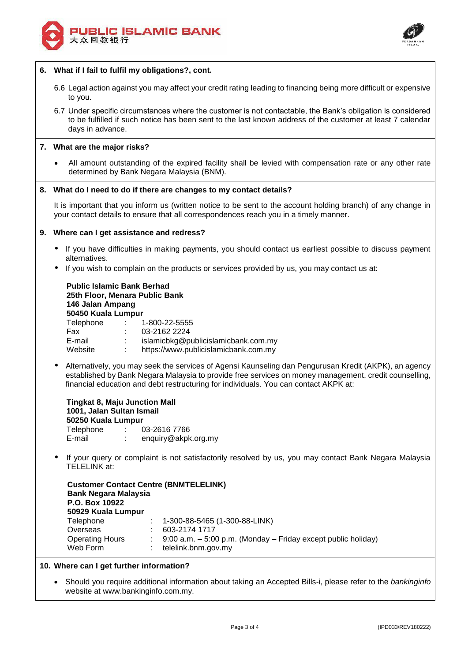



# **6. What if I fail to fulfil my obligations?, cont.**

- 6.6 Legal action against you may affect your credit rating leading to financing being more difficult or expensive to you.
- 6.7 Under specific circumstances where the customer is not contactable, the Bank's obligation is considered to be fulfilled if such notice has been sent to the last known address of the customer at least 7 calendar days in advance.

### **7. What are the major risks?**

 All amount outstanding of the expired facility shall be levied with compensation rate or any other rate determined by Bank Negara Malaysia (BNM).

### **8. What do I need to do if there are changes to my contact details?**

It is important that you inform us (written notice to be sent to the account holding branch) of any change in your contact details to ensure that all correspondences reach you in a timely manner.

## **9. Where can I get assistance and redress?**

- If you have difficulties in making payments, you should contact us earliest possible to discuss payment alternatives.
- If you wish to complain on the products or services provided by us, you may contact us at:

### **Public Islamic Bank Berhad 25th Floor, Menara Public Bank 146 Jalan Ampang 50450 Kuala Lumpur** Telephone : 1-800-22-5555

| Telephone | 1-800-22-5555                        |
|-----------|--------------------------------------|
| Fax       | 03-2162 2224                         |
| E-mail    | islamicbkg@publicislamicbank.com.my  |
| Website   | https://www.publicislamicbank.com.my |
|           |                                      |

 Alternatively, you may seek the services of Agensi Kaunseling dan Pengurusan Kredit (AKPK), an agency established by Bank Negara Malaysia to provide free services on money management, credit counselling, financial education and debt restructuring for individuals. You can contact AKPK at:

#### **Tingkat 8, Maju Junction Mall 1001, Jalan Sultan Ismail 50250 Kuala Lumpur** Telephone : 03-2616 7766 E-mail : enquiry@akpk.org.my

 If your query or complaint is not satisfactorily resolved by us, you may contact Bank Negara Malaysia TELELINK at:

|                             | <b>Customer Contact Centre (BNMTELELINK)</b>                      |
|-----------------------------|-------------------------------------------------------------------|
| <b>Bank Negara Malaysia</b> |                                                                   |
| P.O. Box 10922              |                                                                   |
| 50929 Kuala Lumpur          |                                                                   |
| Telephone                   | $: 1-300-88-5465(1-300-88-LINK)$                                  |
| Overseas                    | 603-2174 1717                                                     |
| <b>Operating Hours</b>      | 9:00 a.m. $-$ 5:00 p.m. (Monday $-$ Friday except public holiday) |
| Web Form                    | telelink.bnm.gov.my                                               |
|                             |                                                                   |

#### **10. Where can I get further information?**

 Should you require additional information about taking an Accepted Bills-i, please refer to the *bankinginfo* website at www.bankinginfo.com.my.